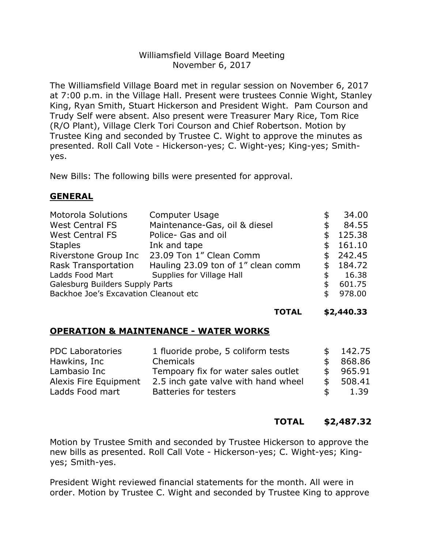## Williamsfield Village Board Meeting November 6, 2017

The Williamsfield Village Board met in regular session on November 6, 2017 at 7:00 p.m. in the Village Hall. Present were trustees Connie Wight, Stanley King, Ryan Smith, Stuart Hickerson and President Wight. Pam Courson and Trudy Self were absent. Also present were Treasurer Mary Rice, Tom Rice (R/O Plant), Village Clerk Tori Courson and Chief Robertson. Motion by Trustee King and seconded by Trustee C. Wight to approve the minutes as presented. Roll Call Vote - Hickerson-yes; C. Wight-yes; King-yes; Smithyes.

New Bills: The following bills were presented for approval.

## **GENERAL**

| <b>Computer Usage</b>                 |  | 34.00    |
|---------------------------------------|--|----------|
| Maintenance-Gas, oil & diesel         |  | 84.55    |
| Police- Gas and oil                   |  | 125.38   |
| Ink and tape                          |  | \$161.10 |
| 23.09 Ton 1" Clean Comm               |  | \$242.45 |
| Hauling 23.09 ton of 1" clean comm    |  | \$184.72 |
| Supplies for Village Hall             |  | 16.38    |
| Galesburg Builders Supply Parts       |  |          |
| Backhoe Joe's Excavation Cleanout etc |  |          |
|                                       |  |          |

#### **TOTAL \$2,440.33**

## **OPERATION & MAINTENANCE - WATER WORKS**

| <b>PDC Laboratories</b> | 1 fluoride probe, 5 coliform tests  | \$F. | 142.75 |
|-------------------------|-------------------------------------|------|--------|
| Hawkins, Inc            | Chemicals                           | \$.  | 868.86 |
| Lambasio Inc            | Tempoary fix for water sales outlet | \$.  | 965.91 |
| Alexis Fire Equipment   | 2.5 inch gate valve with hand wheel | - SS | 508.41 |
| Ladds Food mart         | <b>Batteries for testers</b>        | \$   | 1.39   |

## **TOTAL \$2,487.32**

Motion by Trustee Smith and seconded by Trustee Hickerson to approve the new bills as presented. Roll Call Vote - Hickerson-yes; C. Wight-yes; Kingyes; Smith-yes.

President Wight reviewed financial statements for the month. All were in order. Motion by Trustee C. Wight and seconded by Trustee King to approve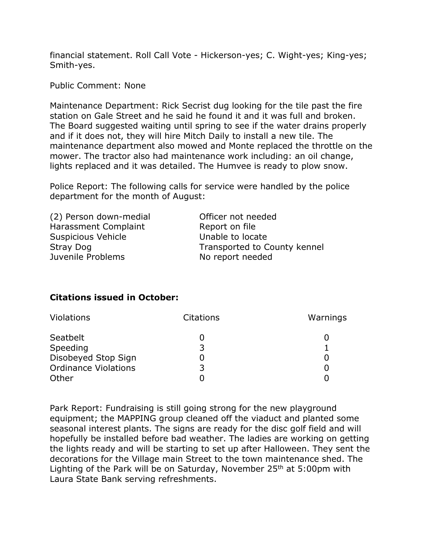financial statement. Roll Call Vote - Hickerson-yes; C. Wight-yes; King-yes; Smith-yes.

Public Comment: None

Maintenance Department: Rick Secrist dug looking for the tile past the fire station on Gale Street and he said he found it and it was full and broken. The Board suggested waiting until spring to see if the water drains properly and if it does not, they will hire Mitch Daily to install a new tile. The maintenance department also mowed and Monte replaced the throttle on the mower. The tractor also had maintenance work including: an oil change, lights replaced and it was detailed. The Humvee is ready to plow snow.

Police Report: The following calls for service were handled by the police department for the month of August:

| (2) Person down-medial    | Officer not needed           |
|---------------------------|------------------------------|
| Harassment Complaint      | Report on file               |
| <b>Suspicious Vehicle</b> | Unable to locate             |
| Stray Dog                 | Transported to County kennel |
| Juvenile Problems         | No report needed             |
|                           |                              |

# **Citations issued in October:**

| Violations                  | <b>Citations</b> | Warnings |
|-----------------------------|------------------|----------|
| Seatbelt                    |                  |          |
| Speeding                    | 3                |          |
| Disobeyed Stop Sign         |                  |          |
| <b>Ordinance Violations</b> | 3                |          |
| Other                       |                  |          |

Park Report: Fundraising is still going strong for the new playground equipment; the MAPPING group cleaned off the viaduct and planted some seasonal interest plants. The signs are ready for the disc golf field and will hopefully be installed before bad weather. The ladies are working on getting the lights ready and will be starting to set up after Halloween. They sent the decorations for the Village main Street to the town maintenance shed. The Lighting of the Park will be on Saturday, November  $25<sup>th</sup>$  at  $5:00<sup>pm</sup>$  with Laura State Bank serving refreshments.